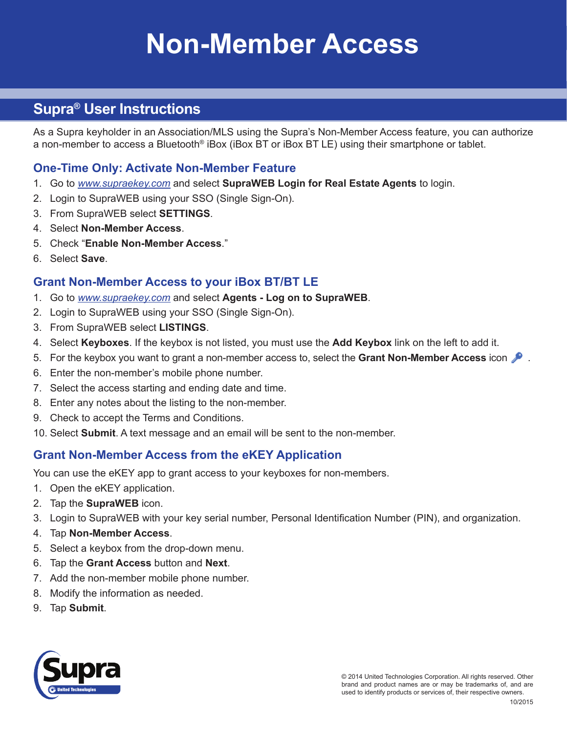# **Non-Member Access**

# **Supra® User Instructions**

As a Supra keyholder in an Association/MLS using the Supra's Non-Member Access feature, you can authorize a non-member to access a Bluetooth® iBox (iBox BT or iBox BT LE) using their smartphone or tablet.

#### **One-Time Only: Activate Non-Member Feature**

- 1. Go to *[www.supraekey.com](http://www.supraekey.com)* and select **SupraWEB Login for Real Estate Agents** to login.
- 2. Login to SupraWEB using your SSO (Single Sign-On).
- 3. From SupraWEB select **SETTINGS**.
- 4. Select **Non-Member Access**.
- 5. Check "**Enable Non-Member Access**."
- 6. Select **Save**.

#### **Grant Non-Member Access to your iBox BT/BT LE**

- 1. Go to *[www.supraekey.com](http://www.supraekey.com)* and select **Agents Log on to SupraWEB**.
- 2. Login to SupraWEB using your SSO (Single Sign-On).
- 3. From SupraWEB select **LISTINGS**.
- 4. Select **Keyboxes**. If the keybox is not listed, you must use the **Add Keybox** link on the left to add it.
- 5. For the keybox you want to grant a non-member access to, select the **Grant Non-Member Access** icon .
- 6. Enter the non-member's mobile phone number.
- 7. Select the access starting and ending date and time.
- 8. Enter any notes about the listing to the non-member.
- 9. Check to accept the Terms and Conditions.
- 10. Select **Submit**. A text message and an email will be sent to the non-member.

### **Grant Non-Member Access from the eKEY Application**

You can use the eKEY app to grant access to your keyboxes for non-members.

- 1. Open the eKEY application.
- 2. Tap the **SupraWEB** icon.
- 3. Login to SupraWEB with your key serial number, Personal Identification Number (PIN), and organization.
- 4. Tap **Non-Member Access**.
- 5. Select a keybox from the drop-down menu.
- 6. Tap the **Grant Access** button and **Next**.
- 7. Add the non-member mobile phone number.
- 8. Modify the information as needed.
- 9. Tap **Submit**.